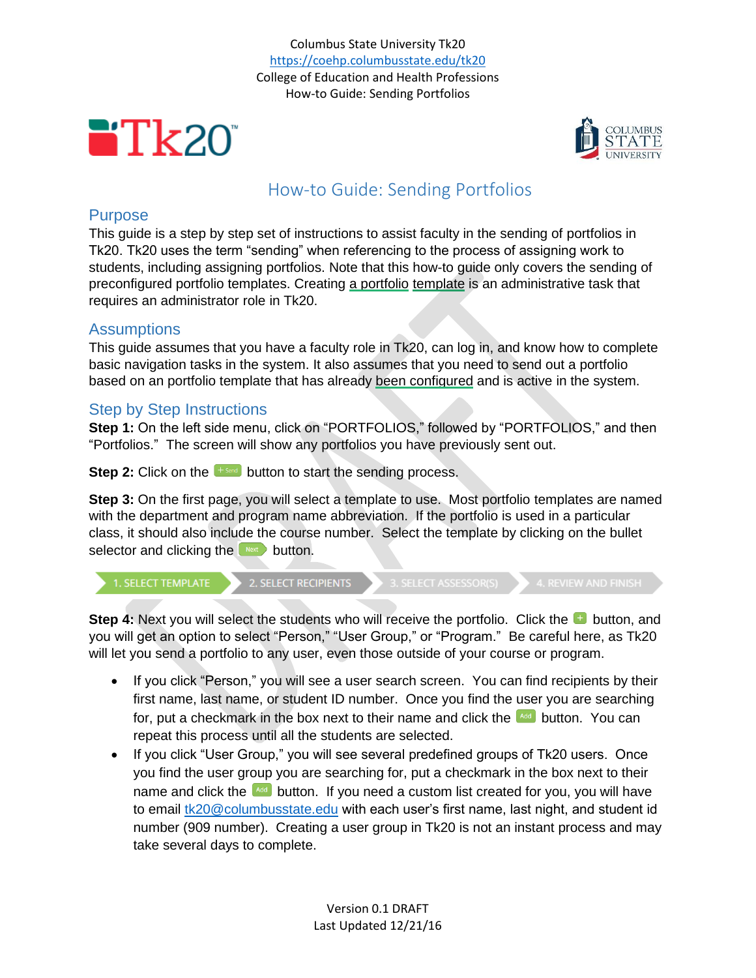Columbus State University Tk20 <https://coehp.columbusstate.edu/tk20> College of Education and Health Professions How-to Guide: Sending Portfolios





# How-to Guide: Sending Portfolios

## Purpose

This guide is a step by step set of instructions to assist faculty in the sending of portfolios in Tk20. Tk20 uses the term "sending" when referencing to the process of assigning work to students, including assigning portfolios. Note that this how-to guide only covers the sending of preconfigured portfolio templates. Creating a portfolio template is an administrative task that requires an administrator role in Tk20.

## **Assumptions**

This guide assumes that you have a faculty role in Tk20, can log in, and know how to complete basic navigation tasks in the system. It also assumes that you need to send out a portfolio based on an portfolio template that has already been configured and is active in the system.

#### Step by Step Instructions

**Step 1:** On the left side menu, click on "PORTFOLIOS," followed by "PORTFOLIOS," and then "Portfolios." The screen will show any portfolios you have previously sent out.

**Step 2:** Click on the  $\left[\begin{array}{c} + \frac{1}{2} \\ - \frac{1}{2} \end{array}\right]$  button to start the sending process.

**Step 3:** On the first page, you will select a template to use. Most portfolio templates are named with the department and program name abbreviation. If the portfolio is used in a particular class, it should also include the course number. Select the template by clicking on the bullet selector and clicking the  $\leftarrow$  button.



**Step 4:** Next you will select the students who will receive the portfolio. Click the **button**, and you will get an option to select "Person," "User Group," or "Program." Be careful here, as Tk20 will let you send a portfolio to any user, even those outside of your course or program.

- If you click "Person," you will see a user search screen. You can find recipients by their first name, last name, or student ID number. Once you find the user you are searching for, put a checkmark in the box next to their name and click the **Add** button. You can repeat this process until all the students are selected.
- If you click "User Group," you will see several predefined groups of Tk20 users. Once you find the user group you are searching for, put a checkmark in the box next to their name and click the  $\frac{1}{2}$  button. If you need a custom list created for you, you will have to email [tk20@columbusstate.edu](mailto:tk20@columbusstate.edu) with each user's first name, last night, and student id number (909 number). Creating a user group in Tk20 is not an instant process and may take several days to complete.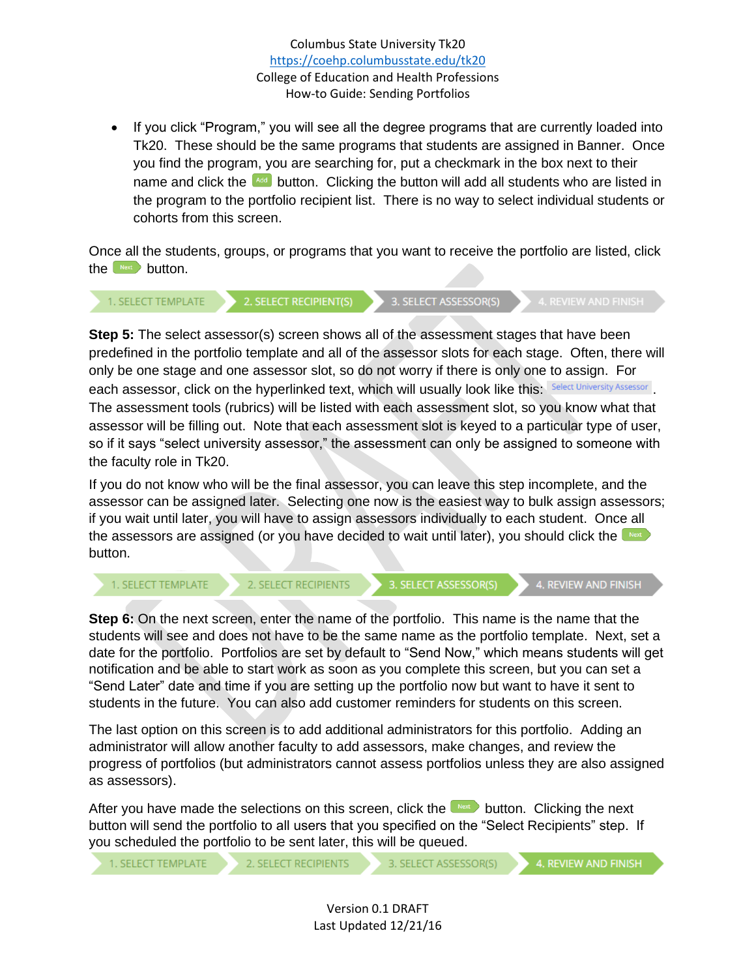Columbus State University Tk20 <https://coehp.columbusstate.edu/tk20> College of Education and Health Professions How-to Guide: Sending Portfolios

• If you click "Program," you will see all the degree programs that are currently loaded into Tk20. These should be the same programs that students are assigned in Banner. Once you find the program, you are searching for, put a checkmark in the box next to their name and click the  $\frac{1}{2}$  button. Clicking the button will add all students who are listed in the program to the portfolio recipient list. There is no way to select individual students or cohorts from this screen.

Once all the students, groups, or programs that you want to receive the portfolio are listed, click the  $\mathbb{R}^{\text{next}}$  button.

2. SELECT RECIPIENT(S) 3. SELECT ASSESSOR(S) 1. SELECT TEMPLATE

**Step 5:** The select assessor(s) screen shows all of the assessment stages that have been predefined in the portfolio template and all of the assessor slots for each stage. Often, there will only be one stage and one assessor slot, so do not worry if there is only one to assign. For each assessor, click on the hyperlinked text, which will usually look like this: Select University Assessor. The assessment tools (rubrics) will be listed with each assessment slot, so you know what that assessor will be filling out. Note that each assessment slot is keyed to a particular type of user, so if it says "select university assessor," the assessment can only be assigned to someone with the faculty role in Tk20.

If you do not know who will be the final assessor, you can leave this step incomplete, and the assessor can be assigned later. Selecting one now is the easiest way to bulk assign assessors; if you wait until later, you will have to assign assessors individually to each student. Once all the assessors are assigned (or you have decided to wait until later), you should click the wext button.

2. SELECT RECIPIENTS 1. SELECT TEMPLATE

3. SELECT ASSESSOR(S)

4. REVIEW AND FINISH

**Step 6:** On the next screen, enter the name of the portfolio. This name is the name that the students will see and does not have to be the same name as the portfolio template. Next, set a date for the portfolio. Portfolios are set by default to "Send Now," which means students will get notification and be able to start work as soon as you complete this screen, but you can set a "Send Later" date and time if you are setting up the portfolio now but want to have it sent to students in the future. You can also add customer reminders for students on this screen.

The last option on this screen is to add additional administrators for this portfolio. Adding an administrator will allow another faculty to add assessors, make changes, and review the progress of portfolios (but administrators cannot assess portfolios unless they are also assigned as assessors).

After you have made the selections on this screen, click the  $\Box$  button. Clicking the next button will send the portfolio to all users that you specified on the "Select Recipients" step. If you scheduled the portfolio to be sent later, this will be queued.

```
1. SELECT TEMPLATE
```
2. SELECT RECIPIENTS

3. SELECT ASSESSOR(S)

4. REVIEW AND FINISH

Version 0.1 DRAFT Last Updated 12/21/16